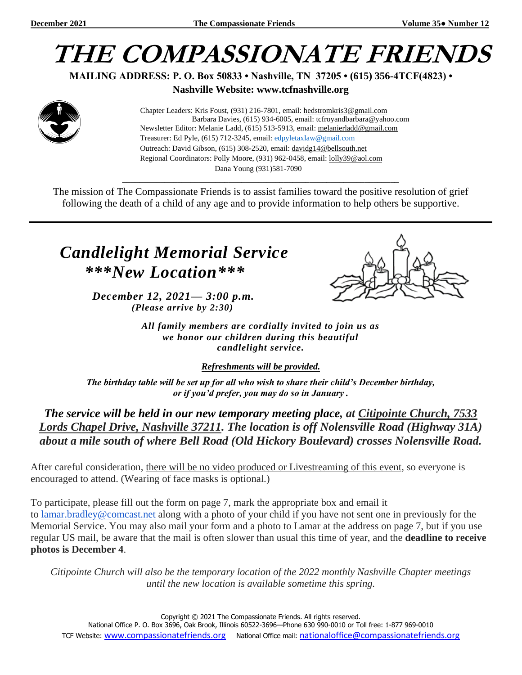

**MAILING ADDRESS: P. O. Box 50833 • Nashville, TN 37205 • (615) 356-4TCF(4823) •**

**Nashville Website: www.tcfnashville.org**



 Chapter Leaders: Kris Foust, (931) 216-7801, email: [hedstromkris3@gmail.com](mailto:hedstromkris3@gmail.com) Barbara Davies, (615) 934-6005, email: tcfroyandbarbara@yahoo.com Newsletter Editor: Melanie Ladd, (615) 513-5913, email: [melanierladd@gmail.com](mailto:melanierladd@gmail.com)  Treasurer: Ed Pyle, (615) 712-3245, email[: edpyletaxlaw@gmail.com](mailto:edpyletaxlaw@gmail.com) Outreach: David Gibson, (615) 308-2520, email: davidg14@bellsouth.net Regional Coordinators: Polly Moore, (931) 962-0458, email: [lolly39@aol.com](mailto:lolly39@aol.com) Dana Young (931)581-7090

The mission of The Compassionate Friends is to assist families toward the positive resolution of grief following the death of a child of any age and to provide information to help others be supportive.

*\_\_\_\_\_\_\_\_\_\_\_\_\_\_\_\_\_\_\_\_\_\_\_\_\_\_\_\_\_\_\_\_\_\_\_\_\_\_\_\_\_\_\_\_\_\_\_\_\_\_\_\_\_\_\_\_\_\_\_\_\_\_\_\_\_*

## *Candlelight Memorial Service \*\*\*New Location\*\*\**

*December 12, 2021— 3:00 p.m. (Please arrive by 2:30)*



*All family members are cordially invited to join us as we honor our children during this beautiful candlelight service.*

*Refreshments will be provided.*

*The birthday table will be set up for all who wish to share their child's December birthday, or if you'd prefer, you may do so in January .*

*The service will be held in our new temporary meeting place, at Citipointe Church, 7533 Lords Chapel Drive, Nashville 37211. The location is off Nolensville Road (Highway 31A) about a mile south of where Bell Road (Old Hickory Boulevard) crosses Nolensville Road.*

After careful consideration, there will be no video produced or Livestreaming of this event, so everyone is encouraged to attend. (Wearing of face masks is optional.)

To participate, please fill out the form on page 7, mark the appropriate box and email it to [lamar.bradley@comcast.net](mailto:lamar.bradley@comcast.net) along with a photo of your child if you have not sent one in previously for the Memorial Service. You may also mail your form and a photo to Lamar at the address on page 7, but if you use regular US mail, be aware that the mail is often slower than usual this time of year, and the **deadline to receive photos is December 4**.

*Citipointe Church will also be the temporary location of the 2022 monthly Nashville Chapter meetings until the new location is available sometime this spring.*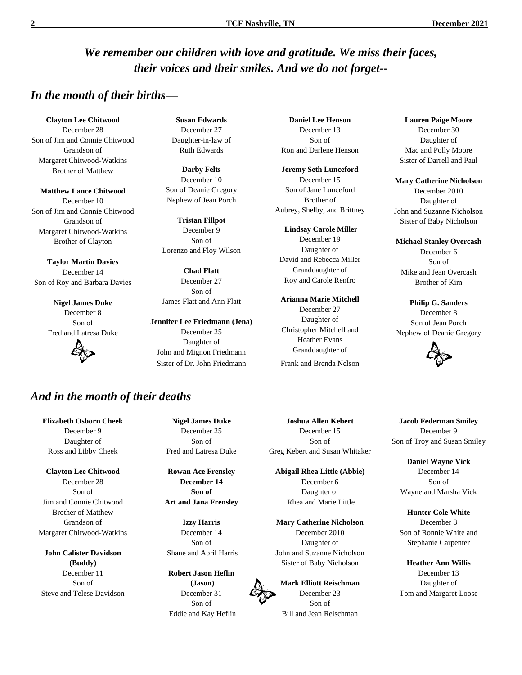#### *We remember our children with love and gratitude. We miss their faces, their voices and their smiles. And we do not forget--*

#### *In the month of their births—*

**Clayton Lee Chitwood** December 28 Son of Jim and Connie Chitwood Grandson of Margaret Chitwood-Watkins Brother of Matthew

**Matthew Lance Chitwood** December 10 Son of Jim and Connie Chitwood Grandson of Margaret Chitwood-Watkins Brother of Clayton

**Taylor Martin Davies** December 14 Son of Roy and Barbara Davies

> **Nigel James Duke** December 8 Son of Fred and Latresa Duke



**Susan Edwards** December 27 Daughter-in-law of Ruth Edwards

**Darby Felts** December 10 Son of Deanie Gregory Nephew of Jean Porch

**Tristan Fillpot** December 9 Son of Lorenzo and Floy Wilson

**Chad Flatt** December 27 Son of James Flatt and Ann Flatt

**Jennifer Lee Friedmann (Jena)** December 25 Daughter of John and Mignon Friedmann Sister of Dr. John Friedmann Frank and Brenda Nelson

**Daniel Lee Henson** December 13 Son of Ron and Darlene Henson

**Jeremy Seth Lunceford** December 15 Son of Jane Lunceford Brother of Aubrey, Shelby, and Brittney

**Lindsay Carole Miller** December 19 Daughter of David and Rebecca Miller Granddaughter of Roy and Carole Renfro

**Arianna Marie Mitchell** December 27 Daughter of Christopher Mitchell and Heather Evans Granddaughter of

**Lauren Paige Moore** December 30 Daughter of Mac and Polly Moore Sister of Darrell and Paul

**Mary Catherine Nicholson** December 2010 Daughter of John and Suzanne Nicholson Sister of Baby Nicholson

**Michael Stanley Overcash** December 6 Son of Mike and Jean Overcash Brother of Kim

**Philip G. Sanders** December 8 Son of Jean Porch Nephew of Deanie Gregory



# *And in the month of their deaths*

**Elizabeth Osborn Cheek** December 9 Daughter of Ross and Libby Cheek

**Clayton Lee Chitwood** December 28 Son of Jim and Connie Chitwood Brother of Matthew Grandson of Margaret Chitwood-Watkins

**John Calister Davidson (Buddy)** December 11 Son of Steve and Telese Davidson

**Nigel James Duke** December 25 Son of Fred and Latresa Duke

**Rowan Ace Frensley December 14 Son of Art and Jana Frensley**

**Izzy Harris** December 14 Son of Shane and April Harris

**Robert Jason Heflin (Jason)** December 31 Son of Eddie and Kay Heflin

**Joshua Allen Kebert** December 15 Son of Greg Kebert and Susan Whitaker

**Abigail Rhea Little (Abbie)** December 6 Daughter of Rhea and Marie Little

**Mary Catherine Nicholson** December 2010 Daughter of John and Suzanne Nicholson Sister of Baby Nicholson

**Mark Elliott Reischman** December 23 Son of Bill and Jean Reischman

**Jacob Federman Smiley** December 9 Son of Troy and Susan Smiley

**Daniel Wayne Vick** December 14 Son of Wayne and Marsha Vick

**Hunter Cole White** December 8 Son of Ronnie White and Stephanie Carpenter

**Heather Ann Willis** December 13 Daughter of Tom and Margaret Loose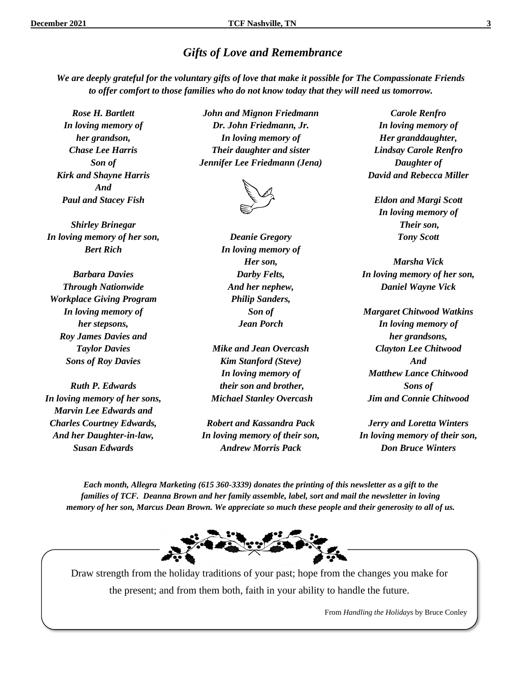#### *Gifts of Love and Remembrance*

*We are deeply grateful for the voluntary gifts of love that make it possible for The Compassionate Friends to offer comfort to those families who do not know today that they will need us tomorrow.*

*Rose H. Bartlett In loving memory of her grandson, Chase Lee Harris Son of Kirk and Shayne Harris And Paul and Stacey Fish*

*Shirley Brinegar In loving memory of her son, Bert Rich* 

*Barbara Davies Through Nationwide Workplace Giving Program In loving memory of her stepsons, Roy James Davies and Taylor Davies Sons of Roy Davies*

*Ruth P. Edwards In loving memory of her sons, Marvin Lee Edwards and Charles Courtney Edwards, And her Daughter-in-law, Susan Edwards*

*John and Mignon Friedmann Dr. John Friedmann, Jr. In loving memory of Their daughter and sister Jennifer Lee Friedmann (Jena)*



*Deanie Gregory In loving memory of Her son, Darby Felts, And her nephew, Philip Sanders, Son of Jean Porch*

*Mike and Jean Overcash Kim Stanford (Steve) In loving memory of their son and brother, Michael Stanley Overcash*

*Robert and Kassandra Pack In loving memory of their son, Andrew Morris Pack*

*Carole Renfro In loving memory of Her granddaughter, Lindsay Carole Renfro Daughter of David and Rebecca Miller*

*Eldon and Margi Scott In loving memory of Their son, Tony Scott*

*Marsha Vick In loving memory of her son, Daniel Wayne Vick*

*Margaret Chitwood Watkins In loving memory of her grandsons, Clayton Lee Chitwood And Matthew Lance Chitwood Sons of Jim and Connie Chitwood*

*Jerry and Loretta Winters In loving memory of their son, Don Bruce Winters*

*Each month, Allegra Marketing (615 360-3339) donates the printing of this newsletter as a gift to the families of TCF. Deanna Brown and her family assemble, label, sort and mail the newsletter in loving memory of her son, Marcus Dean Brown. We appreciate so much these people and their generosity to all of us.*



Draw strength from the holiday traditions of your past; hope from the changes you make for the present; and from them both, faith in your ability to handle the future.

From *Handling the Holidays* by Bruce Conley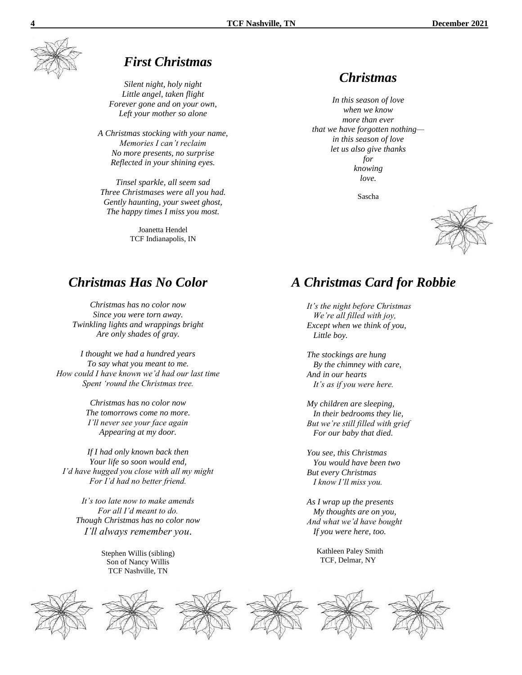

#### *First Christmas*

*Silent night, holy night Little angel, taken flight Forever gone and on your own, Left your mother so alone*

*A Christmas stocking with your name, Memories I can't reclaim No more presents, no surprise Reflected in your shining eyes.*

*Tinsel sparkle, all seem sad Three Christmases were all you had. Gently haunting, your sweet ghost, The happy times I miss you most.*

> Joanetta Hendel TCF Indianapolis, IN

#### *Christmas*

*In this season of love when we know more than ever that we have forgotten nothing in this season of love let us also give thanks for knowing love.*

Sascha

*A Christmas Card for Robbie*

*It's the night before Christmas We're all filled with joy, Except when we think of you,*

 *Little boy.*

*The stockings are hung By the chimney with care,*

 *It's as if you were here.*

*My children are sleeping, In their bedrooms they lie, But we're still filled with grief For our baby that died.*

*You see, this Christmas You would have been two*

*As I wrap up the presents My thoughts are on you, And what we'd have bought If you were here, too.*

> Kathleen Paley Smith TCF, Delmar, NY

*But every Christmas I know I'll miss you.*

*And in our hearts*



#### *Christmas Has No Color*

*Christmas has no color now Since you were torn away. Twinkling lights and wrappings bright Are only shades of gray.*

*I thought we had a hundred years To say what you meant to me. How could I have known we'd had our last time Spent 'round the Christmas tree.*

> *Christmas has no color now The tomorrows come no more. I'll never see your face again Appearing at my door.*

*If I had only known back then Your life so soon would end, I'd have hugged you close with all my might For I'd had no better friend.*

*It's too late now to make amends For all I'd meant to do. Though Christmas has no color now I'll always remember you*.

> Stephen Willis (sibling) Son of Nancy Willis TCF Nashville, TN











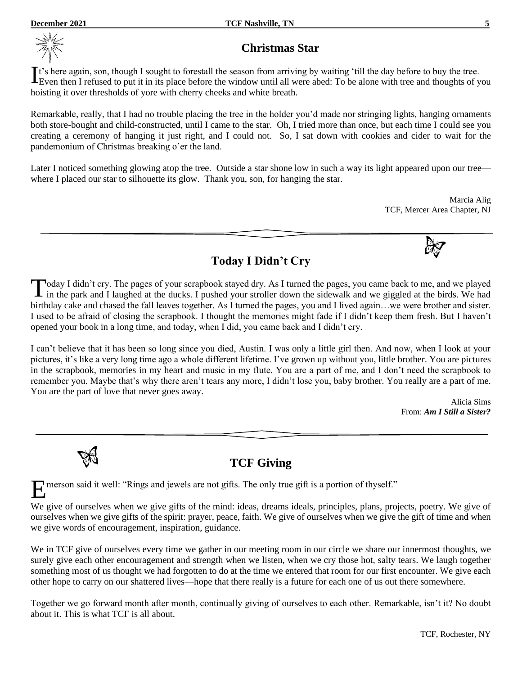

#### **Christmas Star**

t's here again, son, though I sought to forestall the season from arriving by waiting 'till the day before to buy the tree. It's here again, son, though I sought to forestall the season from arriving by waiting 'till the day before to buy the tree.<br>Even then I refused to put it in its place before the window until all were abed: To be alone wit hoisting it over thresholds of yore with cherry cheeks and white breath.

Remarkable, really, that I had no trouble placing the tree in the holder you'd made nor stringing lights, hanging ornaments both store-bought and child-constructed, until I came to the star. Oh, I tried more than once, but each time I could see you creating a ceremony of hanging it just right, and I could not. So, I sat down with cookies and cider to wait for the pandemonium of Christmas breaking o'er the land.

Later I noticed something glowing atop the tree. Outside a star shone low in such a way its light appeared upon our tree where I placed our star to silhouette its glow. Thank you, son, for hanging the star.

> Marcia Alig TCF, Mercer Area Chapter, NJ

**Today I Didn't Cry**

Today I didn't cry. The pages of your scrapbook stayed dry. As I turned the pages, you came back to me, and we played in the park and I laughed at the ducks. I pushed your stroller down the sidewalk and we giggled at the b in the park and I laughed at the ducks. I pushed your stroller down the sidewalk and we giggled at the birds. We had birthday cake and chased the fall leaves together. As I turned the pages, you and I lived again...we were brother and sister. I used to be afraid of closing the scrapbook. I thought the memories might fade if I didn't keep them fresh. But I haven't opened your book in a long time, and today, when I did, you came back and I didn't cry.

I can't believe that it has been so long since you died, Austin. I was only a little girl then. And now, when I look at your pictures, it's like a very long time ago a whole different lifetime. I've grown up without you, little brother. You are pictures in the scrapbook, memories in my heart and music in my flute. You are a part of me, and I don't need the scrapbook to remember you. Maybe that's why there aren't tears any more, I didn't lose you, baby brother. You really are a part of me. You are the part of love that never goes away.

> Alicia Sims From: *Am I Still a Sister?*

#### **TCF Giving**

merson said it well: "Rings and jewels are not gifts. The only true gift is a portion of thyself." E

We give of ourselves when we give gifts of the mind: ideas, dreams ideals, principles, plans, projects, poetry. We give of ourselves when we give gifts of the spirit: prayer, peace, faith. We give of ourselves when we give the gift of time and when we give words of encouragement, inspiration, guidance.

We in TCF give of ourselves every time we gather in our meeting room in our circle we share our innermost thoughts, we surely give each other encouragement and strength when we listen, when we cry those hot, salty tears. We laugh together something most of us thought we had forgotten to do at the time we entered that room for our first encounter. We give each other hope to carry on our shattered lives—hope that there really is a future for each one of us out there somewhere.

Together we go forward month after month, continually giving of ourselves to each other. Remarkable, isn't it? No doubt about it. This is what TCF is all about.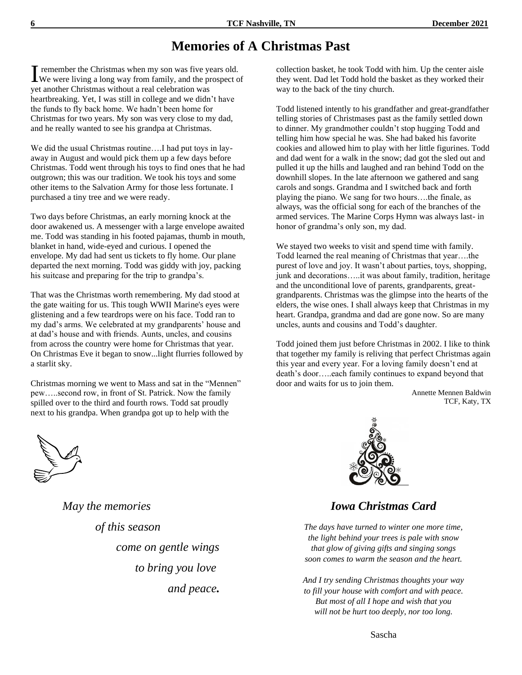## **Memories of A Christmas Past**

remember the Christmas when my son was five years old. I remember the Christmas when my son was five years old.<br>We were living a long way from family, and the prospect of yet another Christmas without a real celebration was heartbreaking. Yet, I was still in college and we didn't have the funds to fly back home. We hadn't been home for Christmas for two years. My son was very close to my dad, and he really wanted to see his grandpa at Christmas.

We did the usual Christmas routine….I had put toys in layaway in August and would pick them up a few days before Christmas. Todd went through his toys to find ones that he had outgrown; this was our tradition. We took his toys and some other items to the Salvation Army for those less fortunate. I purchased a tiny tree and we were ready.

Two days before Christmas, an early morning knock at the door awakened us. A messenger with a large envelope awaited me. Todd was standing in his footed pajamas, thumb in mouth, blanket in hand, wide-eyed and curious. I opened the envelope. My dad had sent us tickets to fly home. Our plane departed the next morning. Todd was giddy with joy, packing his suitcase and preparing for the trip to grandpa's.

That was the Christmas worth remembering. My dad stood at the gate waiting for us. This tough WWII Marine's eyes were glistening and a few teardrops were on his face. Todd ran to my dad's arms. We celebrated at my grandparents' house and at dad's house and with friends. Aunts, uncles, and cousins from across the country were home for Christmas that year. On Christmas Eve it began to snow...light flurries followed by a starlit sky.

Christmas morning we went to Mass and sat in the "Mennen" pew…..second row, in front of St. Patrick. Now the family spilled over to the third and fourth rows. Todd sat proudly next to his grandpa. When grandpa got up to help with the

 *May the memories of this season come on gentle wings to bring you love and peace.*

collection basket, he took Todd with him. Up the center aisle they went. Dad let Todd hold the basket as they worked their way to the back of the tiny church.

Todd listened intently to his grandfather and great-grandfather telling stories of Christmases past as the family settled down to dinner. My grandmother couldn't stop hugging Todd and telling him how special he was. She had baked his favorite cookies and allowed him to play with her little figurines. Todd and dad went for a walk in the snow; dad got the sled out and pulled it up the hills and laughed and ran behind Todd on the downhill slopes. In the late afternoon we gathered and sang carols and songs. Grandma and I switched back and forth playing the piano. We sang for two hours….the finale, as always, was the official song for each of the branches of the armed services. The Marine Corps Hymn was always last- in honor of grandma's only son, my dad.

We stayed two weeks to visit and spend time with family. Todd learned the real meaning of Christmas that year….the purest of love and joy. It wasn't about parties, toys, shopping, junk and decorations.....it was about family, tradition, heritage and the unconditional love of parents, grandparents, greatgrandparents. Christmas was the glimpse into the hearts of the elders, the wise ones. I shall always keep that Christmas in my heart. Grandpa, grandma and dad are gone now. So are many uncles, aunts and cousins and Todd's daughter.

Todd joined them just before Christmas in 2002. I like to think that together my family is reliving that perfect Christmas again this year and every year. For a loving family doesn't end at death's door…..each family continues to expand beyond that door and waits for us to join them.

> Annette Mennen Baldwin TCF, Katy, TX



#### *Iowa Christmas Card*

*The days have turned to winter one more time, the light behind your trees is pale with snow that glow of giving gifts and singing songs soon comes to warm the season and the heart.*

*And I try sending Christmas thoughts your way to fill your house with comfort and with peace. But most of all I hope and wish that you will not be hurt too deeply, nor too long.*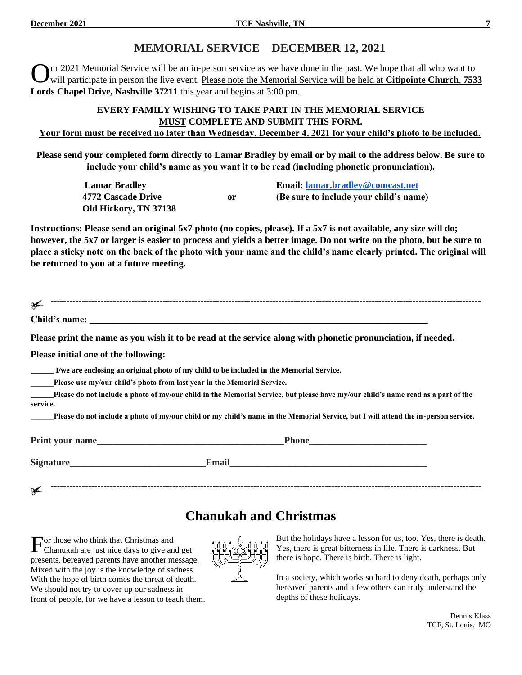#### **MEMORIAL SERVICE—DECEMBER 12, 2021**

ur 2021 Memorial Service will be an in-person service as we have done in the past. We hope that all who want to will participate in person the live event. Please note the Memorial Service will be held at **Citipointe Church**, **7533 Lords Chapel Drive, Nashville 37211** this year and begins at 3:00 pm. O

#### **EVERY FAMILY WISHING TO TAKE PART IN THE MEMORIAL SERVICE MUST COMPLETE AND SUBMIT THIS FORM. Your form must be received no later than Wednesday, December 4, 2021 for your child's photo to be included.**

**Please send your completed form directly to Lamar Bradley by email or by mail to the address below. Be sure to include your child's name as you want it to be read (including phonetic pronunciation).**

| <b>Lamar Bradley</b>  |    | Email: lamar.bradley@comcast.net       |
|-----------------------|----|----------------------------------------|
| 4772 Cascade Drive    | or | (Be sure to include your child's name) |
| Old Hickory, TN 37138 |    |                                        |

**Instructions: Please send an original 5x7 photo (no copies, please). If a 5x7 is not available, any size will do; however, the 5x7 or larger is easier to process and yields a better image. Do not write on the photo, but be sure to place a sticky note on the back of the photo with your name and the child's name clearly printed. The original will be returned to you at a future meeting.**

| ىم                                   |                                                                                                                                    |
|--------------------------------------|------------------------------------------------------------------------------------------------------------------------------------|
|                                      |                                                                                                                                    |
|                                      | Please print the name as you wish it to be read at the service along with phonetic pronunciation, if needed.                       |
| Please initial one of the following: |                                                                                                                                    |
|                                      | I/we are enclosing an original photo of my child to be included in the Memorial Service.                                           |
|                                      | Please use my/our child's photo from last year in the Memorial Service.                                                            |
| service.                             | Please do not include a photo of my/our child in the Memorial Service, but please have my/our child's name read as a part of the   |
|                                      | Please do not include a photo of my/our child or my child's name in the Memorial Service, but I will attend the in-person service. |
|                                      | Print your name                                                                                                                    |
|                                      | Email 2008 - 2008 - 2010 - 2010 - 2010 - 2010 - 2010 - 2010 - 2010 - 2010 - 2010 - 2010 - 2010 - 2010 - 2010 -                     |
| ىم                                   |                                                                                                                                    |

### **Chanukah and Christmas**

 $\Gamma$  or those who think that Christmas and Chanukah are just nice days to give an Chanukah are just nice days to give and get presents, bereaved parents have another message. Mixed with the joy is the knowledge of sadness. With the hope of birth comes the threat of death. We should not try to cover up our sadness in front of people, for we have a lesson to teach them.



But the holidays have a lesson for us, too. Yes, there is death. Yes, there is great bitterness in life. There is darkness. But there is hope. There is birth. There is light.

In a society, which works so hard to deny death, perhaps only bereaved parents and a few others can truly understand the depths of these holidays.

Dennis Klass TCF, St. Louis, MO